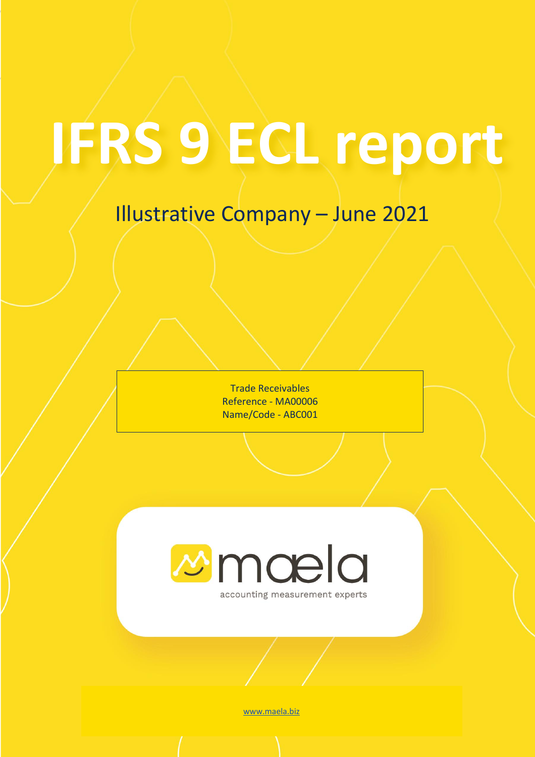# **IFRS 9 ECL report**

# Illustrative Company – June 2021

Trade Receivables Reference - MA00006 Name/Code - ABC001



[www.maela.biz](http://www.maela.co.za/)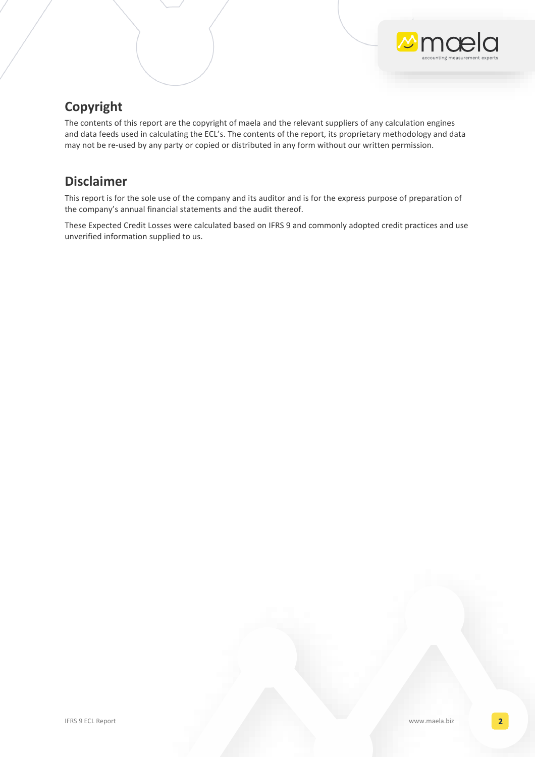

# <span id="page-1-0"></span>**Copyright**

The contents of this report are the copyright of maela and the relevant suppliers of any calculation engines and data feeds used in calculating the ECL's. The contents of the report, its proprietary methodology and data may not be re-used by any party or copied or distributed in any form without our written permission.

# <span id="page-1-1"></span>**Disclaimer**

This report is for the sole use of the company and its auditor and is for the express purpose of preparation of the company's annual financial statements and the audit thereof.

These Expected Credit Losses were calculated based on IFRS 9 and commonly adopted credit practices and use unverified information supplied to us.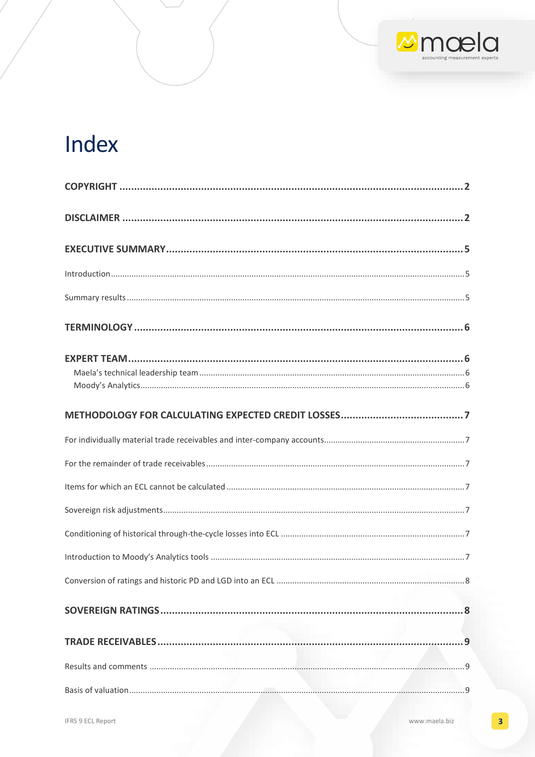# Index

**MOOD**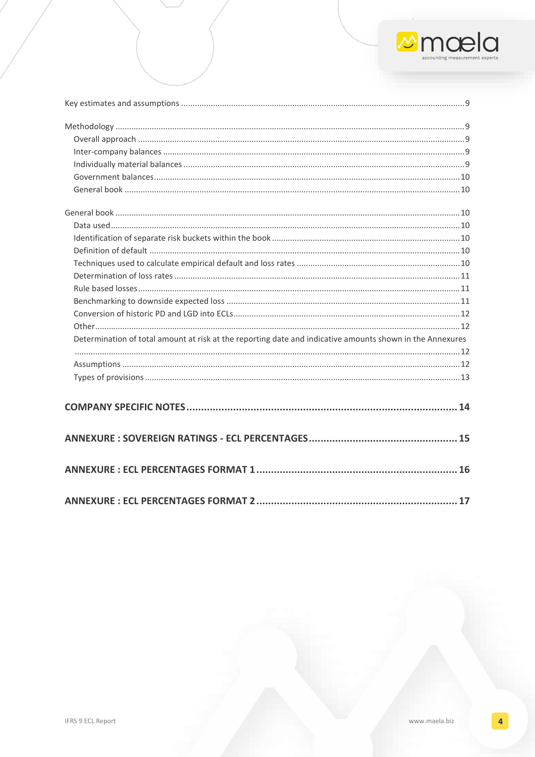

| Determination of total amount at risk at the reporting date and indicative amounts shown in the Annexures |  |
|-----------------------------------------------------------------------------------------------------------|--|
|                                                                                                           |  |
|                                                                                                           |  |
|                                                                                                           |  |
|                                                                                                           |  |
|                                                                                                           |  |
|                                                                                                           |  |
|                                                                                                           |  |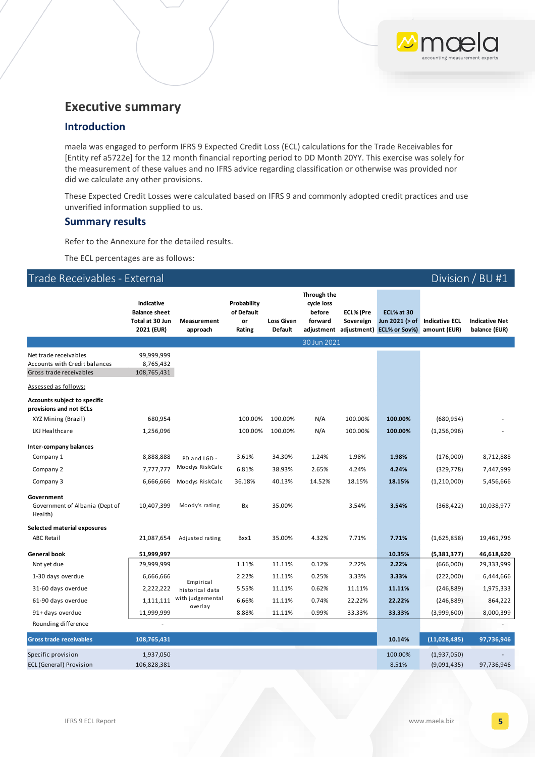# <span id="page-4-0"></span>**Executive summary**

#### <span id="page-4-1"></span>**Introduction**

maela was engaged to perform IFRS 9 Expected Credit Loss (ECL) calculations for the Trade Receivables for [Entity ref a5722e] for the 12 month financial reporting period to DD Month 20YY. This exercise was solely for the measurement of these values and no IFRS advice regarding classification or otherwise was provided nor did we calculate any other provisions.

These Expected Credit Losses were calculated based on IFRS 9 and commonly adopted credit practices and use unverified information supplied to us.

#### <span id="page-4-2"></span>**Summary results**

Refer to the Annexure for the detailed results.

The ECL percentages are as follows:

#### Trade Receivables - External Division / BU #1

|                                                                                          | Indicative<br><b>Balance sheet</b><br>Total at 30 Jun<br>2021 (EUR) | Measurement<br>approach | Probability<br>of Default<br>or<br>Rating | <b>Loss Given</b><br><b>Default</b> | Through the<br>cycle loss<br>before<br>forward | ECL% (Pre<br>Sovereign | ECL% at 30<br>Jun 2021 (> of<br>adjustment adjustment) ECL% or Sov%) | <b>Indicative ECL</b><br>amount (EUR) | <b>Indicative Net</b><br>balance (EUR) |
|------------------------------------------------------------------------------------------|---------------------------------------------------------------------|-------------------------|-------------------------------------------|-------------------------------------|------------------------------------------------|------------------------|----------------------------------------------------------------------|---------------------------------------|----------------------------------------|
|                                                                                          |                                                                     |                         |                                           |                                     | 30 Jun 2021                                    |                        |                                                                      |                                       |                                        |
| Net trade receivables<br><b>Accounts with Credit balances</b><br>Gross trade receivables | 99,999,999<br>8,765,432<br>108,765,431                              |                         |                                           |                                     |                                                |                        |                                                                      |                                       |                                        |
| Assessed as follows:                                                                     |                                                                     |                         |                                           |                                     |                                                |                        |                                                                      |                                       |                                        |
| Accounts subject to specific<br>provisions and not ECLs                                  |                                                                     |                         |                                           |                                     |                                                |                        |                                                                      |                                       |                                        |
| XYZ Mining (Brazil)                                                                      | 680,954                                                             |                         | 100.00%                                   | 100.00%                             | N/A                                            | 100.00%                | 100.00%                                                              | (680, 954)                            |                                        |
| LKJ Healthcare                                                                           | 1,256,096                                                           |                         | 100.00%                                   | 100.00%                             | N/A                                            | 100.00%                | 100.00%                                                              | (1,256,096)                           |                                        |
| Inter-company balances                                                                   |                                                                     |                         |                                           |                                     |                                                |                        |                                                                      |                                       |                                        |
| Company 1                                                                                | 8,888,888                                                           | PD and LGD -            | 3.61%                                     | 34.30%                              | 1.24%                                          | 1.98%                  | 1.98%                                                                | (176,000)                             | 8,712,888                              |
| Company 2                                                                                | 7,777,777                                                           | Moodys RiskCalc         | 6.81%                                     | 38.93%                              | 2.65%                                          | 4.24%                  | 4.24%                                                                | (329, 778)                            | 7,447,999                              |
| Company 3                                                                                | 6,666,666                                                           | Moodys RiskCalc         | 36.18%                                    | 40.13%                              | 14.52%                                         | 18.15%                 | 18.15%                                                               | (1, 210, 000)                         | 5,456,666                              |
| Government<br>Government of Albania (Dept of<br>Health)                                  | 10,407,399                                                          | Moody's rating          | Bx                                        | 35.00%                              |                                                | 3.54%                  | 3.54%                                                                | (368, 422)                            | 10,038,977                             |
| Selected material exposures                                                              |                                                                     |                         |                                           |                                     |                                                |                        |                                                                      |                                       |                                        |
| <b>ABC Retail</b>                                                                        | 21,087,654                                                          | Adjusted rating         | Bxx1                                      | 35.00%                              | 4.32%                                          | 7.71%                  | 7.71%                                                                | (1,625,858)                           | 19,461,796                             |
| General book                                                                             | 51,999,997                                                          |                         |                                           |                                     |                                                |                        | 10.35%                                                               | (5,381,377)                           | 46,618,620                             |
| Not yet due                                                                              | 29,999,999                                                          |                         | 1.11%                                     | 11.11%                              | 0.12%                                          | 2.22%                  | 2.22%                                                                | (666,000)                             | 29,333,999                             |
| 1-30 days overdue                                                                        | 6,666,666                                                           | Empirical               | 2.22%                                     | 11.11%                              | 0.25%                                          | 3.33%                  | 3.33%                                                                | (222,000)                             | 6,444,666                              |
| 31-60 days overdue                                                                       | 2,222,222                                                           | historical data         | 5.55%                                     | 11.11%                              | 0.62%                                          | 11.11%                 | 11.11%                                                               | (246, 889)                            | 1,975,333                              |
| 61-90 days overdue                                                                       | 1,111,111                                                           | with judgemental        | 6.66%                                     | 11.11%                              | 0.74%                                          | 22.22%                 | 22.22%                                                               | (246, 889)                            | 864,222                                |
| 91+ days overdue                                                                         | 11,999,999                                                          | overlay                 | 8.88%                                     | 11.11%                              | 0.99%                                          | 33.33%                 | 33.33%                                                               | (3,999,600)                           | 8,000,399                              |
| Rounding difference                                                                      |                                                                     |                         |                                           |                                     |                                                |                        |                                                                      |                                       | ÷                                      |
| <b>Gross trade receivables</b>                                                           | 108,765,431                                                         |                         |                                           |                                     |                                                |                        | 10.14%                                                               | (11,028,485)                          | 97,736,946                             |
| Specific provision                                                                       | 1,937,050                                                           |                         |                                           |                                     |                                                |                        | 100.00%                                                              | (1,937,050)                           |                                        |
| <b>ECL (General) Provision</b>                                                           | 106,828,381                                                         |                         |                                           |                                     |                                                |                        | 8.51%                                                                | (9,091,435)                           | 97,736,946                             |

 $\omega$ mæla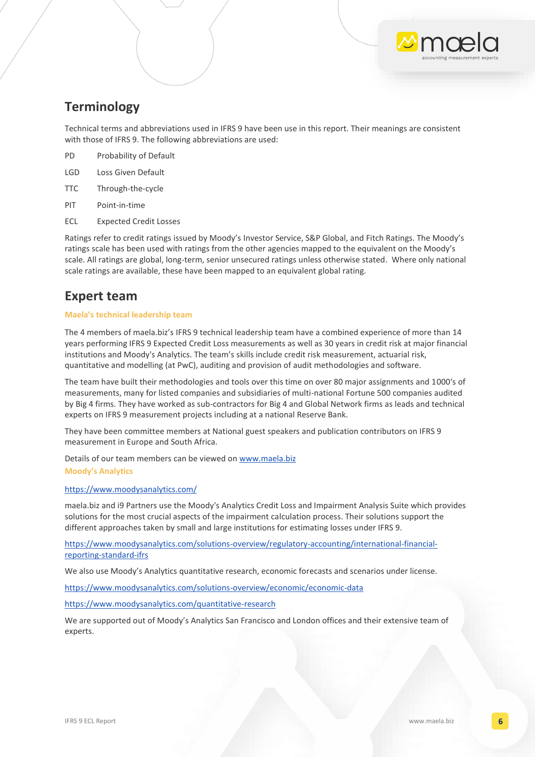# <span id="page-5-0"></span>**Terminology**

Technical terms and abbreviations used in IFRS 9 have been use in this report. Their meanings are consistent with those of IFRS 9. The following abbreviations are used:

- PD Probability of Default
- LGD Loss Given Default
- TTC Through-the-cycle
- PIT Point-in-time
- ECL Expected Credit Losses

Ratings refer to credit ratings issued by Moody's Investor Service, S&P Global, and Fitch Ratings. The Moody's ratings scale has been used with ratings from the other agencies mapped to the equivalent on the Moody's scale. All ratings are global, long-term, senior unsecured ratings unless otherwise stated. Where only national scale ratings are available, these have been mapped to an equivalent global rating.

## <span id="page-5-1"></span>**Expert team**

#### <span id="page-5-2"></span>**Maela's technical leadership team**

The 4 members of maela.biz's IFRS 9 technical leadership team have a combined experience of more than 14 years performing IFRS 9 Expected Credit Loss measurements as well as 30 years in credit risk at major financial institutions and Moody's Analytics. The team's skills include credit risk measurement, actuarial risk, quantitative and modelling (at PwC), auditing and provision of audit methodologies and software.

The team have built their methodologies and tools over this time on over 80 major assignments and 1000's of measurements, many for listed companies and subsidiaries of multi-national Fortune 500 companies audited by Big 4 firms. They have worked as sub-contractors for Big 4 and Global Network firms as leads and technical experts on IFRS 9 measurement projects including at a national Reserve Bank.

They have been committee members at National guest speakers and publication contributors on IFRS 9 measurement in Europe and South Africa.

Details of our team members can be viewed on [www.maela.biz](http://www.maela.biz/)

<span id="page-5-3"></span>**Moody's Analytics**

<https://www.moodysanalytics.com/>

maela.biz and i9 Partners use the Moody's Analytics Credit Loss and Impairment Analysis Suite which provides solutions for the most crucial aspects of the impairment calculation process. Their solutions support the different approaches taken by small and large institutions for estimating losses under IFRS 9.

[https://www.moodysanalytics.com/solutions-overview/regulatory-accounting/international-financial](https://www.moodysanalytics.com/solutions-overview/regulatory-accounting/international-financial-reporting-standard-ifrs)[reporting-standard-ifrs](https://www.moodysanalytics.com/solutions-overview/regulatory-accounting/international-financial-reporting-standard-ifrs)

We also use Moody's Analytics quantitative research, economic forecasts and scenarios under license.

<https://www.moodysanalytics.com/solutions-overview/economic/economic-data>

<https://www.moodysanalytics.com/quantitative-research>

We are supported out of Moody's Analytics San Francisco and London offices and their extensive team of experts.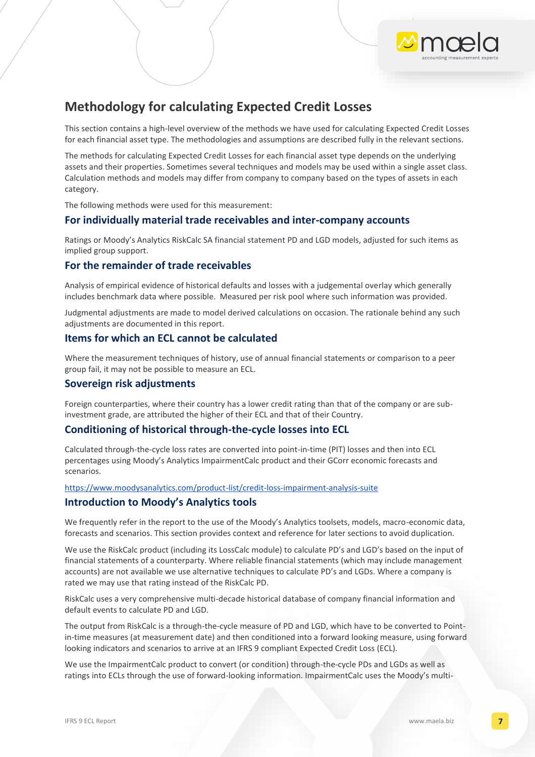

# <span id="page-6-0"></span>**Methodology for calculating Expected Credit Losses**

This section contains a high-level overview of the methods we have used for calculating Expected Credit Losses for each financial asset type. The methodologies and assumptions are described fully in the relevant sections.

The methods for calculating Expected Credit Losses for each financial asset type depends on the underlying assets and their properties. Sometimes several techniques and models may be used within a single asset class. Calculation methods and models may differ from company to company based on the types of assets in each category.

The following methods were used for this measurement:

#### <span id="page-6-1"></span>**For individually material trade receivables and inter-company accounts**

Ratings or Moody's Analytics RiskCalc SA financial statement PD and LGD models, adjusted for such items as implied group support.

#### <span id="page-6-2"></span>**For the remainder of trade receivables**

Analysis of empirical evidence of historical defaults and losses with a judgemental overlay which generally includes benchmark data where possible. Measured per risk pool where such information was provided.

Judgmental adjustments are made to model derived calculations on occasion. The rationale behind any such adjustments are documented in this report.

#### <span id="page-6-3"></span>**Items for which an ECL cannot be calculated**

Where the measurement techniques of history, use of annual financial statements or comparison to a peer group fail, it may not be possible to measure an ECL.

#### <span id="page-6-4"></span>**Sovereign risk adjustments**

Foreign counterparties, where their country has a lower credit rating than that of the company or are subinvestment grade, are attributed the higher of their ECL and that of their Country.

#### <span id="page-6-5"></span>**Conditioning of historical through-the-cycle losses into ECL**

Calculated through-the-cycle loss rates are converted into point-in-time (PIT) losses and then into ECL percentages using Moody's Analytics ImpairmentCalc product and their GCorr economic forecasts and scenarios.

#### <https://www.moodysanalytics.com/product-list/credit-loss-impairment-analysis-suite>

#### <span id="page-6-6"></span>**Introduction to Moody's Analytics tools**

We frequently refer in the report to the use of the Moody's Analytics toolsets, models, macro-economic data, forecasts and scenarios. This section provides context and reference for later sections to avoid duplication.

We use the RiskCalc product (including its LossCalc module) to calculate PD's and LGD's based on the input of financial statements of a counterparty. Where reliable financial statements (which may include management accounts) are not available we use alternative techniques to calculate PD's and LGDs. Where a company is rated we may use that rating instead of the RiskCalc PD.

RiskCalc uses a very comprehensive multi-decade historical database of company financial information and default events to calculate PD and LGD.

The output from RiskCalc is a through-the-cycle measure of PD and LGD, which have to be converted to Pointin-time measures (at measurement date) and then conditioned into a forward looking measure, using forward looking indicators and scenarios to arrive at an IFRS 9 compliant Expected Credit Loss (ECL).

We use the ImpairmentCalc product to convert (or condition) through-the-cycle PDs and LGDs as well as ratings into ECLs through the use of forward-looking information. ImpairmentCalc uses the Moody's multi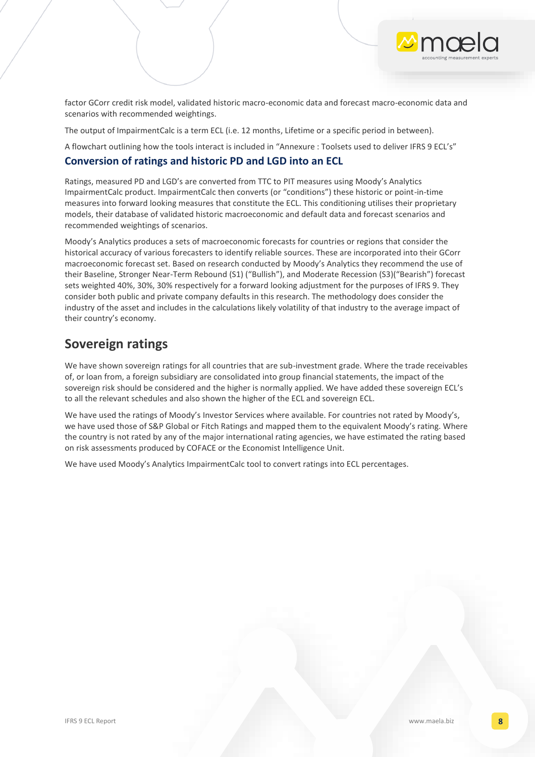factor GCorr credit risk model, validated historic macro-economic data and forecast macro-economic data and scenarios with recommended weightings.

The output of ImpairmentCalc is a term ECL (i.e. 12 months, Lifetime or a specific period in between).

A flowchart outlining how the tools interact is included in "Annexure : Toolsets used to deliver IFRS 9 ECL's"

#### <span id="page-7-0"></span>**Conversion of ratings and historic PD and LGD into an ECL**

Ratings, measured PD and LGD's are converted from TTC to PIT measures using Moody's Analytics ImpairmentCalc product. ImpairmentCalc then converts (or "conditions") these historic or point-in-time measures into forward looking measures that constitute the ECL. This conditioning utilises their proprietary models, their database of validated historic macroeconomic and default data and forecast scenarios and recommended weightings of scenarios.

Moody's Analytics produces a sets of macroeconomic forecasts for countries or regions that consider the historical accuracy of various forecasters to identify reliable sources. These are incorporated into their GCorr macroeconomic forecast set. Based on research conducted by Moody's Analytics they recommend the use of their Baseline, Stronger Near-Term Rebound (S1) ("Bullish"), and Moderate Recession (S3)("Bearish") forecast sets weighted 40%, 30%, 30% respectively for a forward looking adjustment for the purposes of IFRS 9. They consider both public and private company defaults in this research. The methodology does consider the industry of the asset and includes in the calculations likely volatility of that industry to the average impact of their country's economy.

### <span id="page-7-1"></span>**Sovereign ratings**

We have shown sovereign ratings for all countries that are sub-investment grade. Where the trade receivables of, or loan from, a foreign subsidiary are consolidated into group financial statements, the impact of the sovereign risk should be considered and the higher is normally applied. We have added these sovereign ECL's to all the relevant schedules and also shown the higher of the ECL and sovereign ECL.

We have used the ratings of Moody's Investor Services where available. For countries not rated by Moody's, we have used those of S&P Global or Fitch Ratings and mapped them to the equivalent Moody's rating. Where the country is not rated by any of the major international rating agencies, we have estimated the rating based on risk assessments produced by COFACE or the Economist Intelligence Unit.

We have used Moody's Analytics ImpairmentCalc tool to convert ratings into ECL percentages.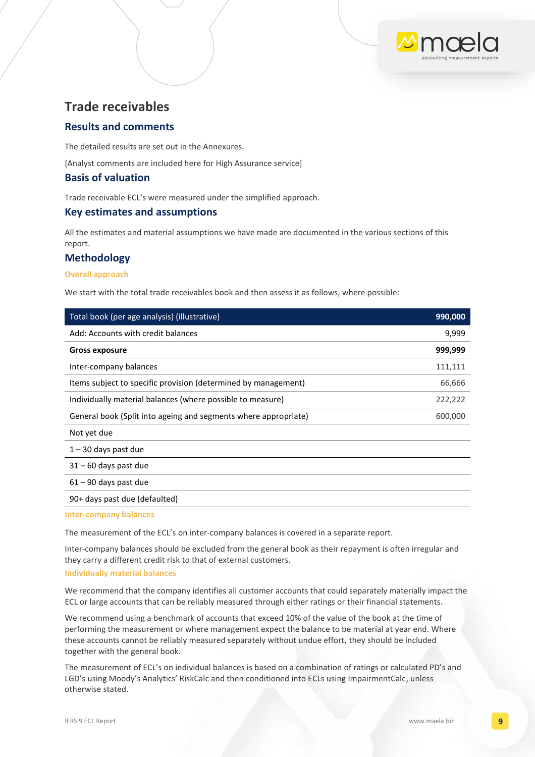# <span id="page-8-0"></span>**Trade receivables**

#### <span id="page-8-1"></span>**Results and comments**

The detailed results are set out in the Annexures.

[Analyst comments are included here for High Assurance service]

#### <span id="page-8-2"></span>**Basis of valuation**

Trade receivable ECL's were measured under the simplified approach.

#### <span id="page-8-3"></span>**Key estimates and assumptions**

All the estimates and material assumptions we have made are documented in the various sections of this report.

#### <span id="page-8-4"></span>**Methodology**

#### <span id="page-8-5"></span>**Overall approach**

We start with the total trade receivables book and then assess it as follows, where possible:

| Total book (per age analysis) (illustrative)                    | 990,000 |
|-----------------------------------------------------------------|---------|
| Add: Accounts with credit balances                              | 9,999   |
| <b>Gross exposure</b>                                           | 999,999 |
| Inter-company balances                                          | 111,111 |
| Items subject to specific provision (determined by management)  | 66,666  |
| Individually material balances (where possible to measure)      | 222,222 |
| General book (Split into ageing and segments where appropriate) | 600,000 |
| Not yet due                                                     |         |
| $1 - 30$ days past due                                          |         |
| $31 - 60$ days past due                                         |         |
| $61 - 90$ days past due                                         |         |
| 90+ days past due (defaulted)                                   |         |
| <b>Inter-company balances</b>                                   |         |

<span id="page-8-6"></span>The measurement of the ECL's on inter-company balances is covered in a separate report.

Inter-company balances should be excluded from the general book as their repayment is often irregular and they carry a different credit risk to that of external customers.

<span id="page-8-7"></span>**Individually material balances**

We recommend that the company identifies all customer accounts that could separately materially impact the ECL or large accounts that can be reliably measured through either ratings or their financial statements.

We recommend using a benchmark of accounts that exceed 10% of the value of the book at the time of performing the measurement or where management expect the balance to be material at year end. Where these accounts cannot be reliably measured separately without undue effort, they should be included together with the general book.

The measurement of ECL's on individual balances is based on a combination of ratings or calculated PD's and LGD's using Moody's Analytics' RiskCalc and then conditioned into ECLs using ImpairmentCalc, unless otherwise stated.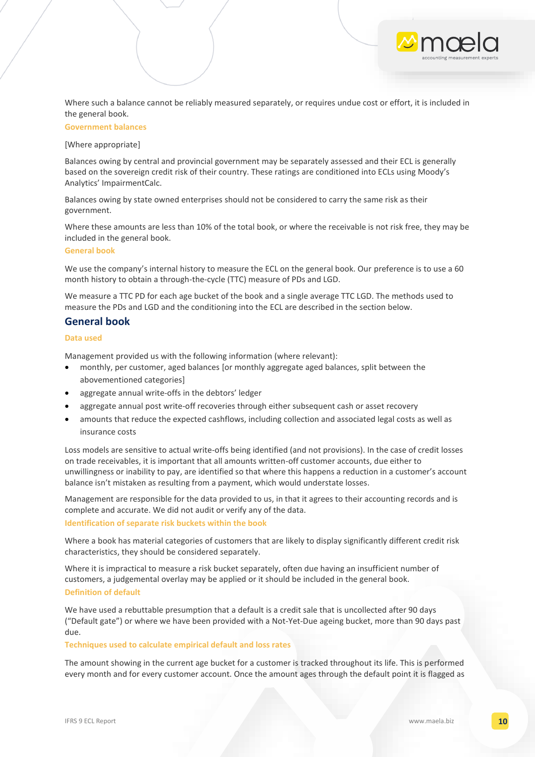Where such a balance cannot be reliably measured separately, or requires undue cost or effort, it is included in the general book.

#### <span id="page-9-0"></span>**Government balances**

#### [Where appropriate]

Balances owing by central and provincial government may be separately assessed and their ECL is generally based on the sovereign credit risk of their country. These ratings are conditioned into ECLs using Moody's Analytics' ImpairmentCalc.

Balances owing by state owned enterprises should not be considered to carry the same risk as their government.

Where these amounts are less than 10% of the total book, or where the receivable is not risk free, they may be included in the general book.

#### <span id="page-9-1"></span>**General book**

We use the company's internal history to measure the ECL on the general book. Our preference is to use a 60 month history to obtain a through-the-cycle (TTC) measure of PDs and LGD.

We measure a TTC PD for each age bucket of the book and a single average TTC LGD. The methods used to measure the PDs and LGD and the conditioning into the ECL are described in the section below.

#### <span id="page-9-2"></span>**General book**

#### <span id="page-9-3"></span>**Data used**

Management provided us with the following information (where relevant):

- monthly, per customer, aged balances [or monthly aggregate aged balances, split between the abovementioned categories]
- aggregate annual write-offs in the debtors' ledger
- aggregate annual post write-off recoveries through either subsequent cash or asset recovery
- amounts that reduce the expected cashflows, including collection and associated legal costs as well as insurance costs

Loss models are sensitive to actual write-offs being identified (and not provisions). In the case of credit losses on trade receivables, it is important that all amounts written-off customer accounts, due either to unwillingness or inability to pay, are identified so that where this happens a reduction in a customer's account balance isn't mistaken as resulting from a payment, which would understate losses.

Management are responsible for the data provided to us, in that it agrees to their accounting records and is complete and accurate. We did not audit or verify any of the data.

#### <span id="page-9-4"></span>**Identification of separate risk buckets within the book**

Where a book has material categories of customers that are likely to display significantly different credit risk characteristics, they should be considered separately.

<span id="page-9-5"></span>Where it is impractical to measure a risk bucket separately, often due having an insufficient number of customers, a judgemental overlay may be applied or it should be included in the general book. **Definition of default**

We have used a rebuttable presumption that a default is a credit sale that is uncollected after 90 days ("Default gate") or where we have been provided with a Not-Yet-Due ageing bucket, more than 90 days past due.

#### <span id="page-9-6"></span>**Techniques used to calculate empirical default and loss rates**

The amount showing in the current age bucket for a customer is tracked throughout its life. This is performed every month and for every customer account. Once the amount ages through the default point it is flagged as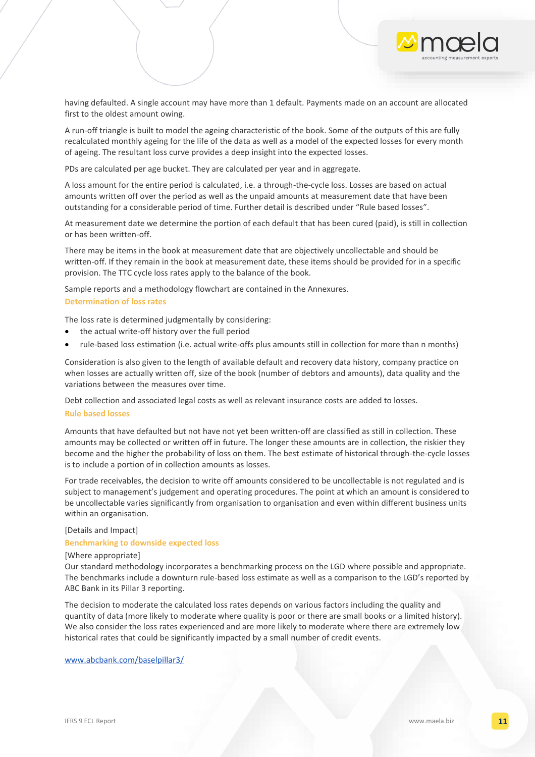having defaulted. A single account may have more than 1 default. Payments made on an account are allocated first to the oldest amount owing.

A run-off triangle is built to model the ageing characteristic of the book. Some of the outputs of this are fully recalculated monthly ageing for the life of the data as well as a model of the expected losses for every month of ageing. The resultant loss curve provides a deep insight into the expected losses.

PDs are calculated per age bucket. They are calculated per year and in aggregate.

A loss amount for the entire period is calculated, i.e. a through-the-cycle loss. Losses are based on actual amounts written off over the period as well as the unpaid amounts at measurement date that have been outstanding for a considerable period of time. Further detail is described under "Rule based losses".

At measurement date we determine the portion of each default that has been cured (paid), is still in collection or has been written-off.

There may be items in the book at measurement date that are objectively uncollectable and should be written-off. If they remain in the book at measurement date, these items should be provided for in a specific provision. The TTC cycle loss rates apply to the balance of the book.

Sample reports and a methodology flowchart are contained in the Annexures.

#### <span id="page-10-0"></span>**Determination of loss rates**

The loss rate is determined judgmentally by considering:

- the actual write-off history over the full period
- rule-based loss estimation (i.e. actual write-offs plus amounts still in collection for more than n months)

Consideration is also given to the length of available default and recovery data history, company practice on when losses are actually written off, size of the book (number of debtors and amounts), data quality and the variations between the measures over time.

<span id="page-10-1"></span>Debt collection and associated legal costs as well as relevant insurance costs are added to losses. **Rule based losses** 

Amounts that have defaulted but not have not yet been written-off are classified as still in collection. These amounts may be collected or written off in future. The longer these amounts are in collection, the riskier they become and the higher the probability of loss on them. The best estimate of historical through-the-cycle losses is to include a portion of in collection amounts as losses.

For trade receivables, the decision to write off amounts considered to be uncollectable is not regulated and is subject to management's judgement and operating procedures. The point at which an amount is considered to be uncollectable varies significantly from organisation to organisation and even within different business units within an organisation.

#### [Details and Impact]

#### <span id="page-10-2"></span>**Benchmarking to downside expected loss**

#### [Where appropriate]

Our standard methodology incorporates a benchmarking process on the LGD where possible and appropriate. The benchmarks include a downturn rule-based loss estimate as well as a comparison to the LGD's reported by ABC Bank in its Pillar 3 reporting.

The decision to moderate the calculated loss rates depends on various factors including the quality and quantity of data (more likely to moderate where quality is poor or there are small books or a limited history). We also consider the loss rates experienced and are more likely to moderate where there are extremely low historical rates that could be significantly impacted by a small number of credit events.

[www.abcbank.com/baselpillar3/](http://www.abcbank.com/baselpillar3/)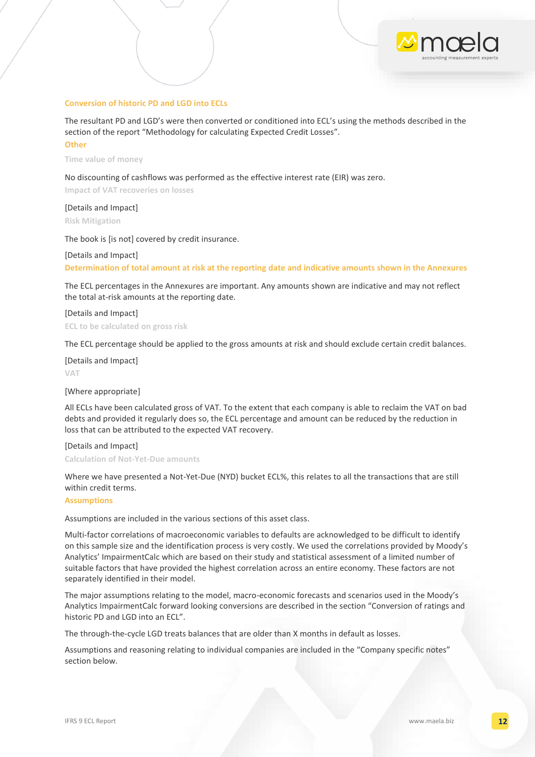#### <span id="page-11-0"></span>**Conversion of historic PD and LGD into ECLs**

The resultant PD and LGD's were then converted or conditioned into ECL's using the methods described in the section of the report "Methodology for calculating Expected Credit Losses". **Other** 

<span id="page-11-1"></span>**Time value of money**

No discounting of cashflows was performed as the effective interest rate (EIR) was zero.

**Impact of VAT recoveries on losses**

[Details and Impact]

**Risk Mitigation**

The book is [is not] covered by credit insurance.

#### [Details and Impact]

<span id="page-11-2"></span>**Determination of total amount at risk at the reporting date and indicative amounts shown in the Annexures** 

The ECL percentages in the Annexures are important. Any amounts shown are indicative and may not reflect the total at-risk amounts at the reporting date.

[Details and Impact] **ECL to be calculated on gross risk** 

The ECL percentage should be applied to the gross amounts at risk and should exclude certain credit balances.

[Details and Impact] **VAT**

[Where appropriate]

All ECLs have been calculated gross of VAT. To the extent that each company is able to reclaim the VAT on bad debts and provided it regularly does so, the ECL percentage and amount can be reduced by the reduction in loss that can be attributed to the expected VAT recovery.

[Details and Impact]

**Calculation of Not-Yet-Due amounts** 

Where we have presented a Not-Yet-Due (NYD) bucket ECL%, this relates to all the transactions that are still within credit terms.

#### <span id="page-11-3"></span>**Assumptions**

Assumptions are included in the various sections of this asset class.

Multi-factor correlations of macroeconomic variables to defaults are acknowledged to be difficult to identify on this sample size and the identification process is very costly. We used the correlations provided by Moody's Analytics' ImpairmentCalc which are based on their study and statistical assessment of a limited number of suitable factors that have provided the highest correlation across an entire economy. These factors are not separately identified in their model.

The major assumptions relating to the model, macro-economic forecasts and scenarios used in the Moody's Analytics ImpairmentCalc forward looking conversions are described in the section "Conversion of ratings and historic PD and LGD into an ECL".

The through-the-cycle LGD treats balances that are older than X months in default as losses.

Assumptions and reasoning relating to individual companies are included in the "Company specific notes" section below.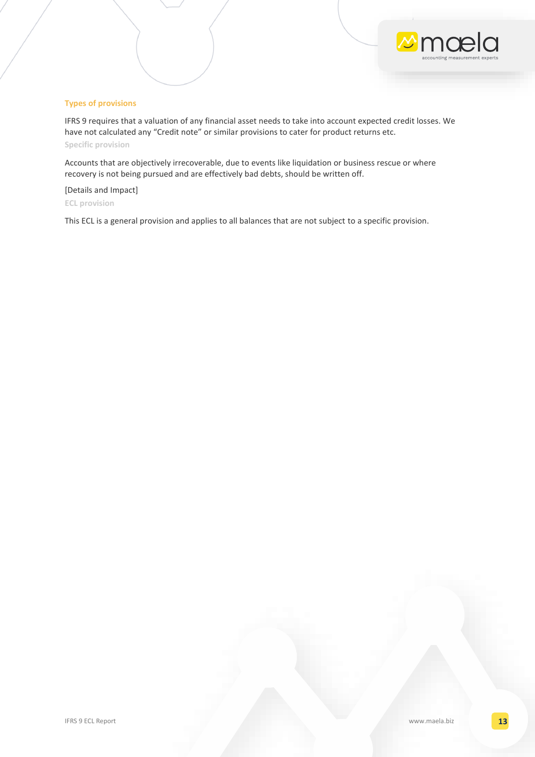

#### <span id="page-12-0"></span>**Types of provisions**

IFRS 9 requires that a valuation of any financial asset needs to take into account expected credit losses. We have not calculated any "Credit note" or similar provisions to cater for product returns etc.

**Specific provision**

Accounts that are objectively irrecoverable, due to events like liquidation or business rescue or where recovery is not being pursued and are effectively bad debts, should be written off.

[Details and Impact]

**ECL provision**

This ECL is a general provision and applies to all balances that are not subject to a specific provision.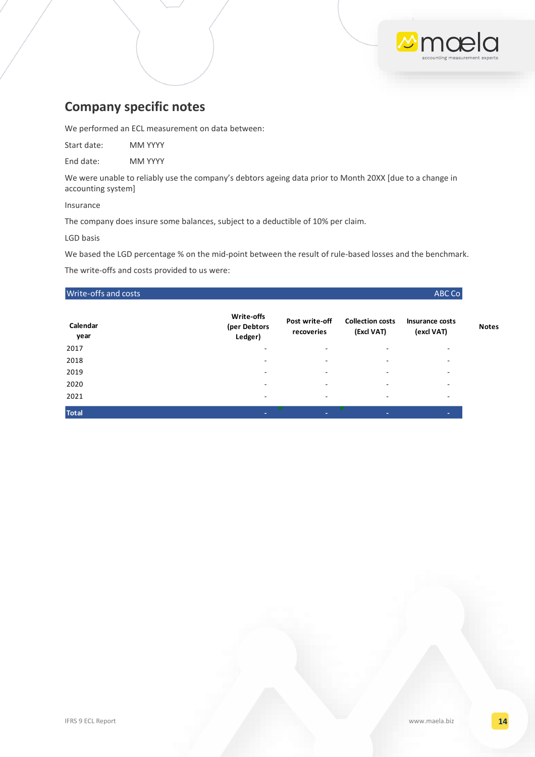# <span id="page-13-0"></span>**Company specific notes**

We performed an ECL measurement on data between:

Start date: MM YYYY

End date: MM YYYY

We were unable to reliably use the company's debtors ageing data prior to Month 20XX [due to a change in accounting system]

Insurance

The company does insure some balances, subject to a deductible of 10% per claim.

LGD basis

We based the LGD percentage % on the mid-point between the result of rule-based losses and the benchmark.

The write-offs and costs provided to us were:

#### **Write-offs and costs** ABC Construction of the Construction of the Construction of the ABC Construction of the ABC Construction of the ABC Construction of the ABC Construction of the ABC Construction of the ABC Constructio

| Calendar<br>year | Write-offs<br>(per Debtors<br>Ledger) | Post write-off<br>recoveries | <b>Collection costs</b><br>(Excl VAT) | Insurance costs<br>(excl VAT) | <b>Notes</b> |
|------------------|---------------------------------------|------------------------------|---------------------------------------|-------------------------------|--------------|
| 2017             | ۰                                     | -                            | $\overline{\phantom{a}}$              |                               |              |
| 2018             | ۰                                     | -                            | $\overline{\phantom{a}}$              | -                             |              |
| 2019             | ۰                                     | -                            | $\overline{\phantom{a}}$              | -                             |              |
| 2020             | ۰                                     | -                            | $\overline{\phantom{a}}$              | ٠.                            |              |
| 2021             | ۰                                     | $\overline{\phantom{a}}$     | $\overline{\phantom{a}}$              | -                             |              |
| <b>Total</b>     | ٠                                     | ٠                            | ٠                                     |                               |              |

 $\omega$ mæla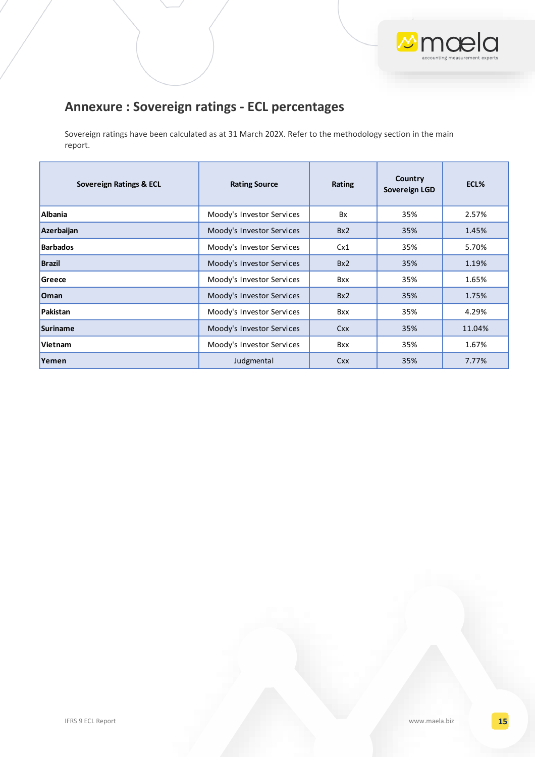

# <span id="page-14-0"></span>**Annexure : Sovereign ratings - ECL percentages**

Sovereign ratings have been calculated as at 31 March 202X. Refer to the methodology section in the main report.

| <b>Sovereign Ratings &amp; ECL</b> | <b>Rating Source</b>      | Rating     | Country<br>Sovereign LGD | ECL%   |  |
|------------------------------------|---------------------------|------------|--------------------------|--------|--|
| <b>Albania</b>                     | Moody's Investor Services | Bx         | 35%                      | 2.57%  |  |
| Azerbaijan                         | Moody's Investor Services | Bx2        | 35%                      | 1.45%  |  |
| <b>Barbados</b>                    | Moody's Investor Services | Cx1        | 35%                      |        |  |
| <b>Brazil</b>                      | Moody's Investor Services | Bx2        | 35%                      | 1.19%  |  |
| Greece                             | Moody's Investor Services | Bxx        | 35%                      | 1.65%  |  |
| <b>Oman</b>                        | Moody's Investor Services | Bx2        | 35%                      | 1.75%  |  |
| Pakistan                           | Moody's Investor Services | <b>Bxx</b> | 35%                      | 4.29%  |  |
| Suriname                           | Moody's Investor Services | <b>Cxx</b> | 35%                      | 11.04% |  |
| <b>Vietnam</b>                     | Moody's Investor Services | <b>Bxx</b> | 35%                      | 1.67%  |  |
| Yemen                              | Judgmental                | <b>Cxx</b> | 35%                      | 7.77%  |  |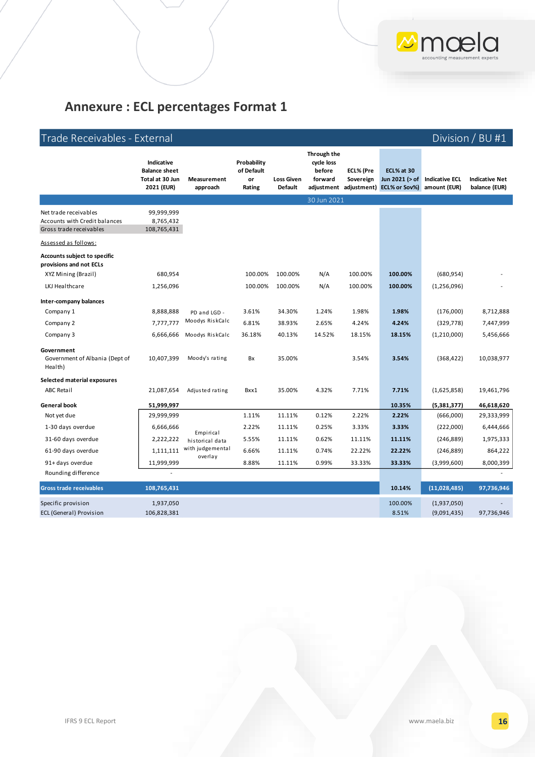## <span id="page-15-0"></span>**Annexure : ECL percentages Format 1**

#### Trade Receivables - External division / BU #1 **Indicative Balance sheet Total at 30 Jun 2021 (EUR) Measurement approach Probability of Default or Rating Loss Given Default Through the cycle loss before forward adjustment ECL% (Pre Sovereign adjustment) ECL% or Sov%) amount (EUR) ECL% at 30 Jun 2021 (> of Indicative ECL Indicative Net balance (EUR)** Net trade receivables 89,999,999 Accounts with Credit balances 8,765,432 Gross trade receivables 108,765,431 Assessed as follows: **Accounts subject to specific provisions and not ECLs** XYZ Mining (Brazil) 680,954 100.00% 100.00% N/A 100.00% **100.00%** (680,954) - LKJ Healthcare 1,256,096 100.00% 100.00% N/A 100.00% **100.00%** (1,256,096) - **Inter-company balances** Company 1 8,888,888 3.61% 34.30% 1.24% 1.98% **1.98%** (176,000) 8,712,888 Company 2 7,777,777 6.81% 38.93% 2.65% 4.24% **4.24%** (329,778) 7,447,999 Company 3 6,666,666 Moodys RiskCalc 36.18% 40.13% 14.52% 18.15% **18.15%** (1,210,000) 5,456,666 **Government** Government of Albania (Dept of Health) 10,407,399 Moody's rating Bx 35.00% 3.54% **3.54%** (368,422) 10,038,977 **Selected material exposures** ABC Retail 21,087,654 Adjusted rating Bxx1 35.00% 4.32% 7.71% **7.71%** (1,625,858) 19,461,796 **General book 51,999,997 10.35% (5,381,377) 46,618,620** Not yet due 29,999,999 1.11% 11.11% 0.12% 2.22% **2.22%** (666,000) 29,333,999 1-30 days overdue 6,666,666 2.22% 11.11% 0.25% 3.33% **3.33%** (222,000) 6,444,666 31-60 days overdue <br>31-60 days overdue <br>1,975,333<br>
1,975,333 61-90 days overdue 1,111,111 6.66% 11.11% 0.74% 22.22% **22.22%** (246,889) 864,222 91+ days overdue 11,999,999 8.88% 11.11% 0.99% 33.33% **33.33%** (3,999,600) 8,000,399 Rounding difference **Gross trade receivables 108,765,431 10.14% (11,028,485) 97,736,946** Specific provision 1,937,050 11,937,050 100.00% (1,937,050) ECL (General) Provision 106,828,381 8.51% (9,091,435) 97,736,946 Empirical historical data with judgemental overlay 30 Jun 2021 PD and LGD - Moodys RiskCalc